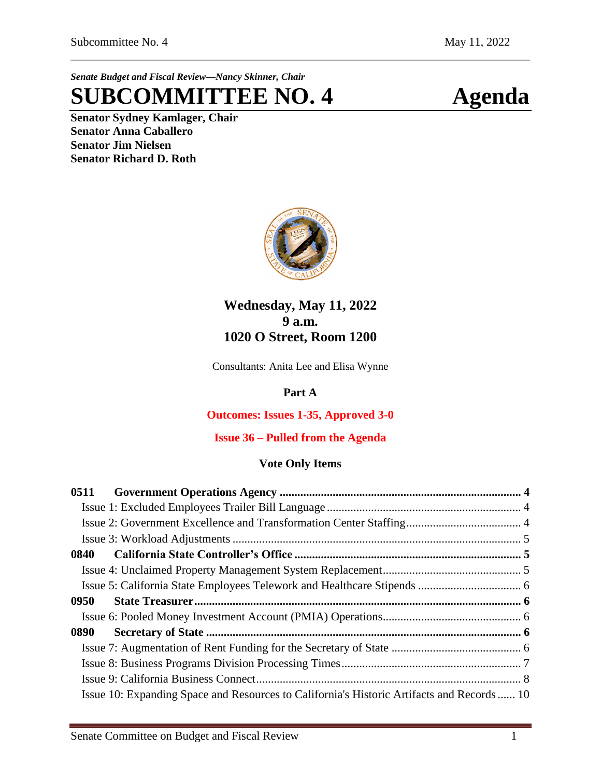*Senate Budget and Fiscal Review—Nancy Skinner, Chair*

# **SUBCOMMITTEE NO. 4 Agenda**

**Senator Sydney Kamlager, Chair Senator Anna Caballero Senator Jim Nielsen Senator Richard D. Roth** 



# **Wednesday, May 11, 2022 9 a.m. 1020 O Street, Room 1200**

Consultants: Anita Lee and Elisa Wynne

## **Part A**

### **Outcomes: Issues 1-35, Approved 3-0**

### **Issue 36 – Pulled from the Agenda**

#### **Vote Only Items**

| 0511                                                                                      |  |
|-------------------------------------------------------------------------------------------|--|
|                                                                                           |  |
|                                                                                           |  |
|                                                                                           |  |
| 0840                                                                                      |  |
|                                                                                           |  |
|                                                                                           |  |
| 0950                                                                                      |  |
|                                                                                           |  |
| 0890                                                                                      |  |
|                                                                                           |  |
|                                                                                           |  |
|                                                                                           |  |
| Issue 10: Expanding Space and Resources to California's Historic Artifacts and Records 10 |  |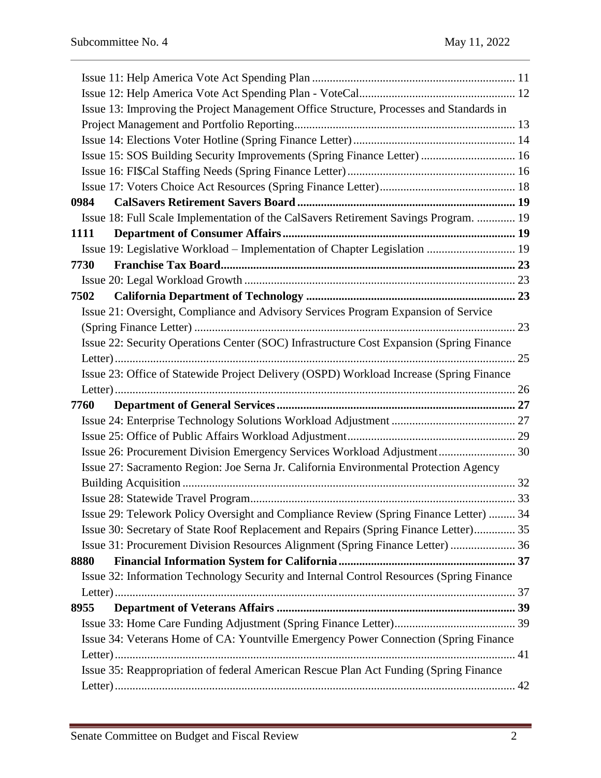| Issue 13: Improving the Project Management Office Structure, Processes and Standards in  |  |
|------------------------------------------------------------------------------------------|--|
|                                                                                          |  |
|                                                                                          |  |
| Issue 15: SOS Building Security Improvements (Spring Finance Letter)  16                 |  |
|                                                                                          |  |
|                                                                                          |  |
| 0984                                                                                     |  |
| Issue 18: Full Scale Implementation of the CalSavers Retirement Savings Program.  19     |  |
| 1111                                                                                     |  |
| Issue 19: Legislative Workload – Implementation of Chapter Legislation  19               |  |
| 7730                                                                                     |  |
|                                                                                          |  |
| 7502                                                                                     |  |
| Issue 21: Oversight, Compliance and Advisory Services Program Expansion of Service       |  |
|                                                                                          |  |
| Issue 22: Security Operations Center (SOC) Infrastructure Cost Expansion (Spring Finance |  |
|                                                                                          |  |
| Issue 23: Office of Statewide Project Delivery (OSPD) Workload Increase (Spring Finance  |  |
|                                                                                          |  |
| 7760                                                                                     |  |
|                                                                                          |  |
|                                                                                          |  |
| Issue 26: Procurement Division Emergency Services Workload Adjustment 30                 |  |
| Issue 27: Sacramento Region: Joe Serna Jr. California Environmental Protection Agency    |  |
|                                                                                          |  |
|                                                                                          |  |
| Issue 29: Telework Policy Oversight and Compliance Review (Spring Finance Letter)  34    |  |
| Issue 30: Secretary of State Roof Replacement and Repairs (Spring Finance Letter) 35     |  |
| Issue 31: Procurement Division Resources Alignment (Spring Finance Letter)  36           |  |
| 8880                                                                                     |  |
| Issue 32: Information Technology Security and Internal Control Resources (Spring Finance |  |
|                                                                                          |  |
| 8955                                                                                     |  |
|                                                                                          |  |
| Issue 34: Veterans Home of CA: Yountville Emergency Power Connection (Spring Finance     |  |
|                                                                                          |  |
| Issue 35: Reappropriation of federal American Rescue Plan Act Funding (Spring Finance    |  |
|                                                                                          |  |